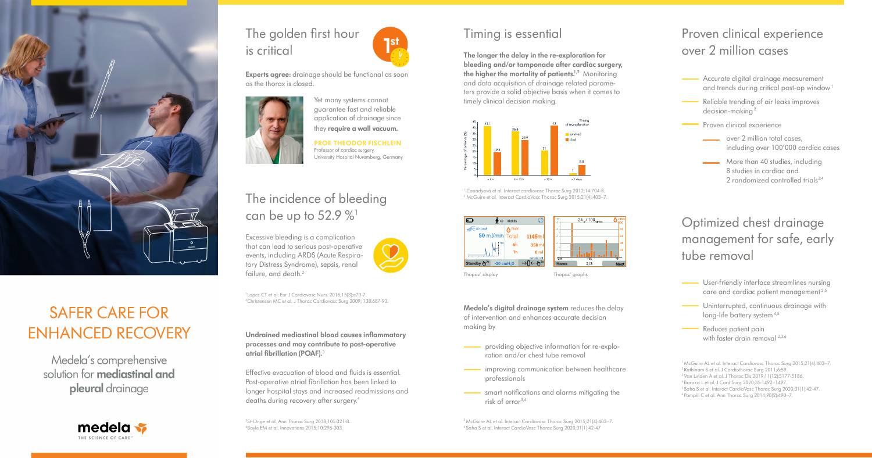

### **SAFER CARE FOR ENHANCED RECOVERY**

Medela's comprehensive solution for **mediastinal and** pleural drainage



### The golden first hour is critical

### The incidence of bleeding can be up to  $52.9\%$ <sup>1</sup>

Effective evacuation of blood and fluids is essential. Post-operative atrial fibrillation has been linked to longer hospital stays and increased readmissions and deaths during recovery after surgery.<sup>4</sup>

**Undrained mediastinal blood causes inflammatory processes and may contribute to post-operative atrial fibrillation (POAF).**<sup>3</sup>

**Experts agree:** drainage should be functional as soon as the thorax is closed.

Excessive bleeding is a complication that can lead to serious post-operative events, including ARDS (Acute Respiratory Distress Syndrome), sepsis, renal failure, and death.<sup>2</sup>



1 Lopes CT et al. Eur J Cardiovasc Nurs. 2016;15(3):e70-7. 2 Christensen MC et al. J Thorac Cardiovasc Surg 2009; 138:687-93.

3 St-Onge et al. Ann Thorac Surg 2018;105:321-8. 4 Boyle EM et al. Innovations 2015;10:296-303.

- providing objective information for re-exploration and/or chest tube removal
- improving communication between healthcare professionals
- smart notifications and alarms mitigating the risk of error3,4

Yet many systems cannot guarantee fast and reliable application of drainage since they **require a wall vacuum.**

> <sup>3</sup> McGuire AL et al. Interact Cardiovasc Thorac Surg 2015;21(4):403-7. <sup>4</sup>Saha S et al. Interact CardioVasc Thorac Surg 2020;31(1):42-47

**PROF. THEODOR FISCHLEIN** Professor of cardiac surgery, University Hospital Nuremberg, Germany



1 Canádyová et al. Interact cardiovasc Thorac Surg 2012;14:704-8. 2 McGuire et al. Interact CardioVasc Thorac Surg 2015;21(4):403–7.



Thopaz<sup>+</sup> display display **Thopaz<sup>+</sup>** graphs

 $2/2$ 

- Accurate digital drainage measurement and trends during critical post-op window<sup>1</sup>
- Reliable trending of air leaks improves decision-making<sup>2</sup>
	- Proven clinical experience
		- over 2 million total cases, including over 100'000 cardiac cases
		- More than 40 studies, including 8 studies in cardiac and 2 randomized controlled trials3,4

### Timing is essential

**The longer the delay in the re-exploration for bleeding and/or tamponade after cardiac surgery, the higher the mortality of patients.<sup>1,2</sup> Monitoring** and data acquisition of drainage related parameters provide a solid objective basis when it comes to timely clinical decision making.



**Medela's digital drainage system** reduces the delay of intervention and enhances accurate decision making by

### Proven clinical experience over 2 million cases

### Optimized chest drainage management for safe, early tube removal

- User-friendly interface streamlines nursing care and cardiac patient management 2,5
- Uninterrupted, continuous drainage with long-life battery system<sup>4,5</sup>
- Reduces patient pain with faster drain removal  $^{2,3,6}$

<sup>1</sup>McGuire AL et al. Interact Cardiovasc Thorac Surg 2015;21(4):403–7. 2 Rathinam S et al. J Cardiothorac Surg 2011;6:59.

<sup>3</sup>Van Linden A et al. J Thorac Dis 2019;11(12):5177-5186.

<sup>4</sup>Barozzi L et al. J Card Surg 2020;35:1492–1497.

<sup>5</sup> Saha S et al. Interact CardioVasc Thorac Surg 2020;31(1):42-47.

<sup>6</sup> Pompili C et al. Ann Thorac Surg 2014;98(2):490–7.